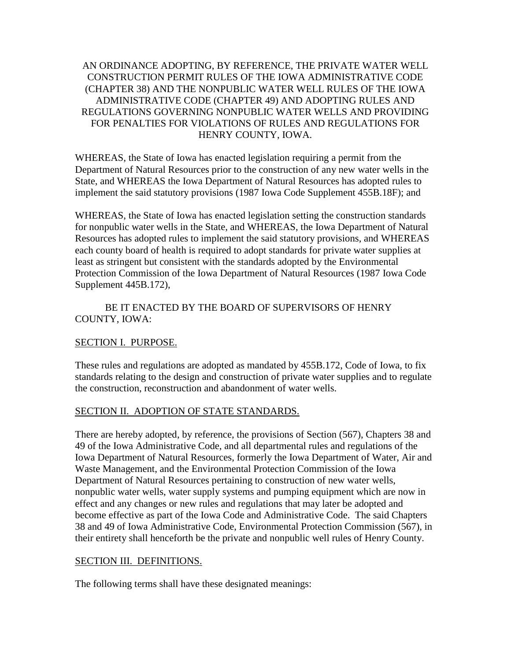### AN ORDINANCE ADOPTING, BY REFERENCE, THE PRIVATE WATER WELL CONSTRUCTION PERMIT RULES OF THE IOWA ADMINISTRATIVE CODE (CHAPTER 38) AND THE NONPUBLIC WATER WELL RULES OF THE IOWA ADMINISTRATIVE CODE (CHAPTER 49) AND ADOPTING RULES AND REGULATIONS GOVERNING NONPUBLIC WATER WELLS AND PROVIDING FOR PENALTIES FOR VIOLATIONS OF RULES AND REGULATIONS FOR HENRY COUNTY, IOWA.

WHEREAS, the State of Iowa has enacted legislation requiring a permit from the Department of Natural Resources prior to the construction of any new water wells in the State, and WHEREAS the Iowa Department of Natural Resources has adopted rules to implement the said statutory provisions (1987 Iowa Code Supplement 455B.18F); and

WHEREAS, the State of Iowa has enacted legislation setting the construction standards for nonpublic water wells in the State, and WHEREAS, the Iowa Department of Natural Resources has adopted rules to implement the said statutory provisions, and WHEREAS each county board of health is required to adopt standards for private water supplies at least as stringent but consistent with the standards adopted by the Environmental Protection Commission of the Iowa Department of Natural Resources (1987 Iowa Code Supplement 445B.172),

#### BE IT ENACTED BY THE BOARD OF SUPERVISORS OF HENRY COUNTY, IOWA:

## SECTION I. PURPOSE.

These rules and regulations are adopted as mandated by 455B.172, Code of Iowa, to fix standards relating to the design and construction of private water supplies and to regulate the construction, reconstruction and abandonment of water wells.

## SECTION II. ADOPTION OF STATE STANDARDS.

There are hereby adopted, by reference, the provisions of Section (567), Chapters 38 and 49 of the Iowa Administrative Code, and all departmental rules and regulations of the Iowa Department of Natural Resources, formerly the Iowa Department of Water, Air and Waste Management, and the Environmental Protection Commission of the Iowa Department of Natural Resources pertaining to construction of new water wells, nonpublic water wells, water supply systems and pumping equipment which are now in effect and any changes or new rules and regulations that may later be adopted and become effective as part of the Iowa Code and Administrative Code. The said Chapters 38 and 49 of Iowa Administrative Code, Environmental Protection Commission (567), in their entirety shall henceforth be the private and nonpublic well rules of Henry County.

#### SECTION III. DEFINITIONS.

The following terms shall have these designated meanings: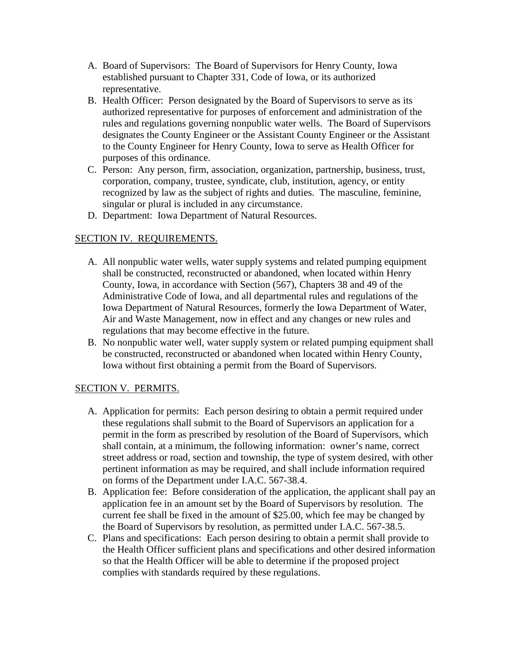- A. Board of Supervisors: The Board of Supervisors for Henry County, Iowa established pursuant to Chapter 331, Code of Iowa, or its authorized representative.
- B. Health Officer: Person designated by the Board of Supervisors to serve as its authorized representative for purposes of enforcement and administration of the rules and regulations governing nonpublic water wells. The Board of Supervisors designates the County Engineer or the Assistant County Engineer or the Assistant to the County Engineer for Henry County, Iowa to serve as Health Officer for purposes of this ordinance.
- C. Person: Any person, firm, association, organization, partnership, business, trust, corporation, company, trustee, syndicate, club, institution, agency, or entity recognized by law as the subject of rights and duties. The masculine, feminine, singular or plural is included in any circumstance.
- D. Department: Iowa Department of Natural Resources.

# SECTION IV. REQUIREMENTS.

- A. All nonpublic water wells, water supply systems and related pumping equipment shall be constructed, reconstructed or abandoned, when located within Henry County, Iowa, in accordance with Section (567), Chapters 38 and 49 of the Administrative Code of Iowa, and all departmental rules and regulations of the Iowa Department of Natural Resources, formerly the Iowa Department of Water, Air and Waste Management, now in effect and any changes or new rules and regulations that may become effective in the future.
- B. No nonpublic water well, water supply system or related pumping equipment shall be constructed, reconstructed or abandoned when located within Henry County, Iowa without first obtaining a permit from the Board of Supervisors.

## SECTION V. PERMITS.

- A. Application for permits: Each person desiring to obtain a permit required under these regulations shall submit to the Board of Supervisors an application for a permit in the form as prescribed by resolution of the Board of Supervisors, which shall contain, at a minimum, the following information: owner's name, correct street address or road, section and township, the type of system desired, with other pertinent information as may be required, and shall include information required on forms of the Department under I.A.C. 567-38.4.
- B. Application fee: Before consideration of the application, the applicant shall pay an application fee in an amount set by the Board of Supervisors by resolution. The current fee shall be fixed in the amount of \$25.00, which fee may be changed by the Board of Supervisors by resolution, as permitted under I.A.C. 567-38.5.
- C. Plans and specifications: Each person desiring to obtain a permit shall provide to the Health Officer sufficient plans and specifications and other desired information so that the Health Officer will be able to determine if the proposed project complies with standards required by these regulations.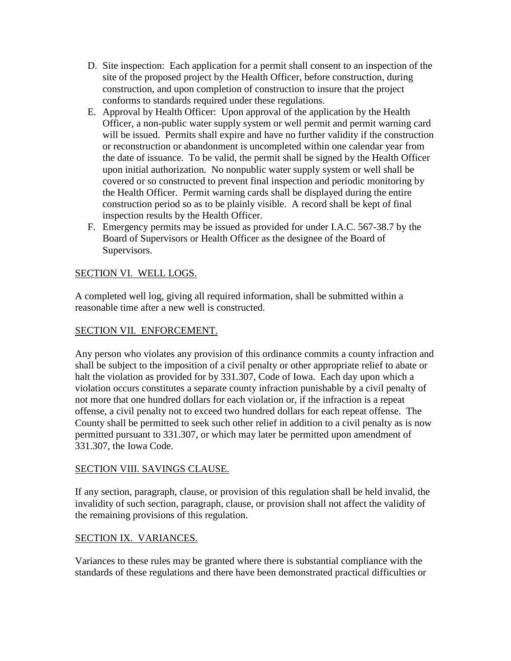- D. Site inspection: Each application for a permit shall consent to an inspection of the site of the proposed project by the Health Officer, before construction, during construction, and upon completion of construction to insure that the project conforms to standards required under these regulations.
- E. Approval by Health Officer: Upon approval of the application by the Health Officer, a non-public water supply system or well permit and permit warning card will be issued. Permits shall expire and have no further validity if the construction or reconstruction or abandonment is uncompleted within one calendar year from the date of issuance. To be valid, the permit shall be signed by the Health Officer upon initial authorization. No nonpublic water supply system or well shall be covered or so constructed to prevent final inspection and periodic monitoring by the Health Officer. Permit warning cards shall be displayed during the entire construction period so as to be plainly visible. A record shall be kept of final inspection results by the Health Officer.
- F. Emergency permits may be issued as provided for under I.A.C. 567-38.7 by the Board of Supervisors or Health Officer as the designee of the Board of Supervisors.

## SECTION VI. WELL LOGS.

A completed well log, giving all required information, shall be submitted within a reasonable time after a new well is constructed.

### SECTION VII. ENFORCEMENT.

Any person who violates any provision of this ordinance commits a county infraction and shall be subject to the imposition of a civil penalty or other appropriate relief to abate or halt the violation as provided for by 331.307, Code of Iowa. Each day upon which a violation occurs constitutes a separate county infraction punishable by a civil penalty of not more that one hundred dollars for each violation or, if the infraction is a repeat offense, a civil penalty not to exceed two hundred dollars for each repeat offense. The County shall be permitted to seek such other relief in addition to a civil penalty as is now permitted pursuant to 331.307, or which may later be permitted upon amendment of 331.307, the Iowa Code.

#### SECTION VIII. SAVINGS CLAUSE.

If any section, paragraph, clause, or provision of this regulation shall be held invalid, the invalidity of such section, paragraph, clause, or provision shall not affect the validity of the remaining provisions of this regulation.

#### SECTION IX. VARIANCES.

Variances to these rules may be granted where there is substantial compliance with the standards of these regulations and there have been demonstrated practical difficulties or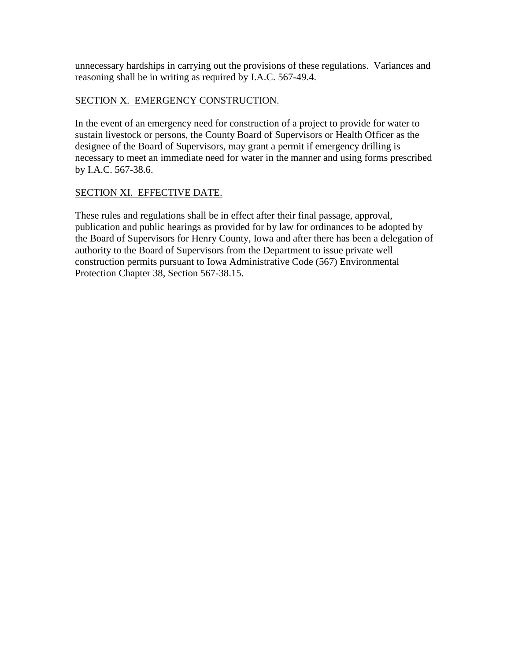unnecessary hardships in carrying out the provisions of these regulations. Variances and reasoning shall be in writing as required by I.A.C. 567-49.4.

## SECTION X. EMERGENCY CONSTRUCTION.

In the event of an emergency need for construction of a project to provide for water to sustain livestock or persons, the County Board of Supervisors or Health Officer as the designee of the Board of Supervisors, may grant a permit if emergency drilling is necessary to meet an immediate need for water in the manner and using forms prescribed by I.A.C. 567-38.6.

#### SECTION XI. EFFECTIVE DATE.

These rules and regulations shall be in effect after their final passage, approval, publication and public hearings as provided for by law for ordinances to be adopted by the Board of Supervisors for Henry County, Iowa and after there has been a delegation of authority to the Board of Supervisors from the Department to issue private well construction permits pursuant to Iowa Administrative Code (567) Environmental Protection Chapter 38, Section 567-38.15.